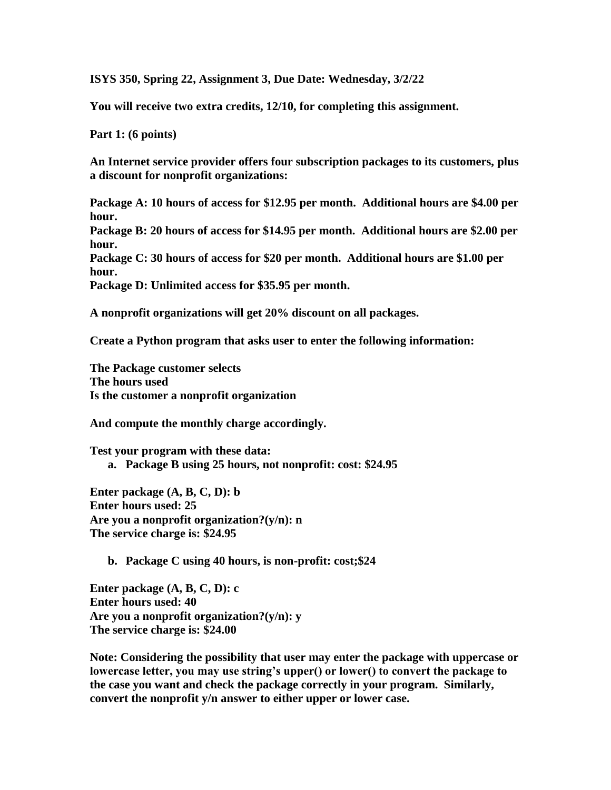**ISYS 350, Spring 22, Assignment 3, Due Date: Wednesday, 3/2/22**

**You will receive two extra credits, 12/10, for completing this assignment.**

**Part 1: (6 points)**

**An Internet service provider offers four subscription packages to its customers, plus a discount for nonprofit organizations:**

**Package A: 10 hours of access for \$12.95 per month. Additional hours are \$4.00 per hour.**

**Package B: 20 hours of access for \$14.95 per month. Additional hours are \$2.00 per hour.**

**Package C: 30 hours of access for \$20 per month. Additional hours are \$1.00 per hour.**

**Package D: Unlimited access for \$35.95 per month.**

**A nonprofit organizations will get 20% discount on all packages.**

**Create a Python program that asks user to enter the following information:**

**The Package customer selects The hours used Is the customer a nonprofit organization**

**And compute the monthly charge accordingly.** 

**Test your program with these data: a. Package B using 25 hours, not nonprofit: cost: \$24.95**

**Enter package (A, B, C, D): b Enter hours used: 25 Are you a nonprofit organization?(y/n): n The service charge is: \$24.95**

**b. Package C using 40 hours, is non-profit: cost;\$24**

**Enter package (A, B, C, D): c Enter hours used: 40 Are you a nonprofit organization?(y/n): y The service charge is: \$24.00**

**Note: Considering the possibility that user may enter the package with uppercase or lowercase letter, you may use string's upper() or lower() to convert the package to the case you want and check the package correctly in your program. Similarly, convert the nonprofit y/n answer to either upper or lower case.**